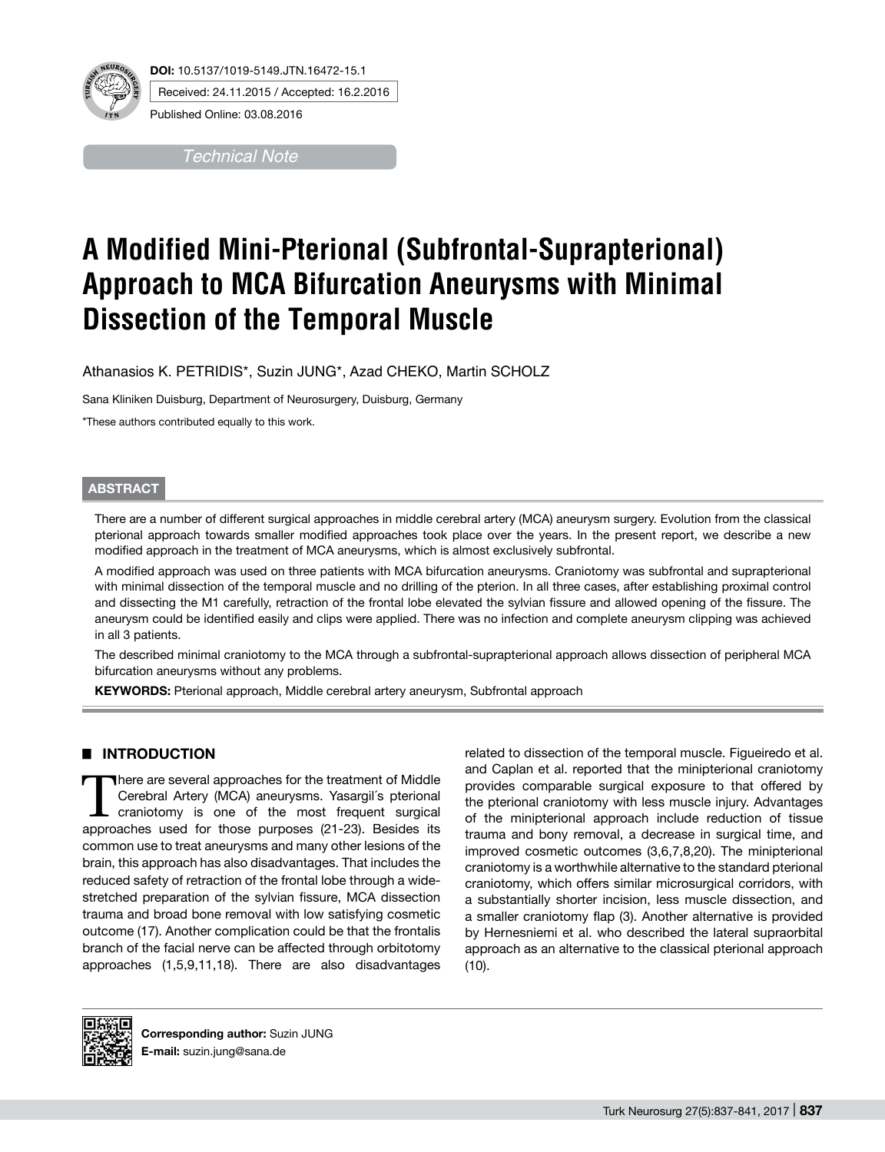

Received: 24.11.2015 / Accepted: 16.2.2016

Published Online: 03.08.2016

*Technical Note*

# **A Modified Mini-Pterional (Subfrontal-Suprapterional) Approach to MCA Bifurcation Aneurysms with Minimal Dissection of the Temporal Muscle**

Athanasios K. PETRIDIS\*, Suzin JUNG\*, Azad CHEKO, Martin SCHOLZ

Sana Kliniken Duisburg, Department of Neurosurgery, Duisburg, Germany

\*These authors contributed equally to this work.

#### **ABSTRACT**

There are a number of different surgical approaches in middle cerebral artery (MCA) aneurysm surgery. Evolution from the classical pterional approach towards smaller modified approaches took place over the years. In the present report, we describe a new modified approach in the treatment of MCA aneurysms, which is almost exclusively subfrontal.

A modified approach was used on three patients with MCA bifurcation aneurysms. Craniotomy was subfrontal and suprapterional with minimal dissection of the temporal muscle and no drilling of the pterion. In all three cases, after establishing proximal control and dissecting the M1 carefully, retraction of the frontal lobe elevated the sylvian fissure and allowed opening of the fissure. The aneurysm could be identified easily and clips were applied. There was no infection and complete aneurysm clipping was achieved in all 3 patients.

The described minimal craniotomy to the MCA through a subfrontal-suprapterional approach allows dissection of peripheral MCA bifurcation aneurysms without any problems.

**KEYWORDS:** Pterional approach, Middle cerebral artery aneurysm, Subfrontal approach

## █ **INTRODUCTION**

There are several approaches for the treatment of Middle<br>Cerebral Artery (MCA) aneurysms. Yasargil's pterional<br>craniotomy is one of the most frequent surgical<br>approaches used for these purposes (21.22). Besides its Cerebral Artery (MCA) aneurysms. Yasargil´s pterional craniotomy is one of the most frequent surgical approaches used for those purposes (21-23). Besides its common use to treat aneurysms and many other lesions of the brain, this approach has also disadvantages. That includes the reduced safety of retraction of the frontal lobe through a widestretched preparation of the sylvian fissure, MCA dissection trauma and broad bone removal with low satisfying cosmetic outcome (17). Another complication could be that the frontalis branch of the facial nerve can be affected through orbitotomy approaches (1,5,9,11,18). There are also disadvantages related to dissection of the temporal muscle. Figueiredo et al. and Caplan et al. reported that the minipterional craniotomy provides comparable surgical exposure to that offered by the pterional craniotomy with less muscle injury. Advantages of the minipterional approach include reduction of tissue trauma and bony removal, a decrease in surgical time, and improved cosmetic outcomes (3,6,7,8,20). The minipterional craniotomy is a worthwhile alternative to the standard pterional craniotomy, which offers similar microsurgical corridors, with a substantially shorter incision, less muscle dissection, and a smaller craniotomy flap (3). Another alternative is provided by Hernesniemi et al. who described the lateral supraorbital approach as an alternative to the classical pterional approach (10).



**Corresponding author:** Suzin JUNG **E-mail:** suzin.jung@sana.de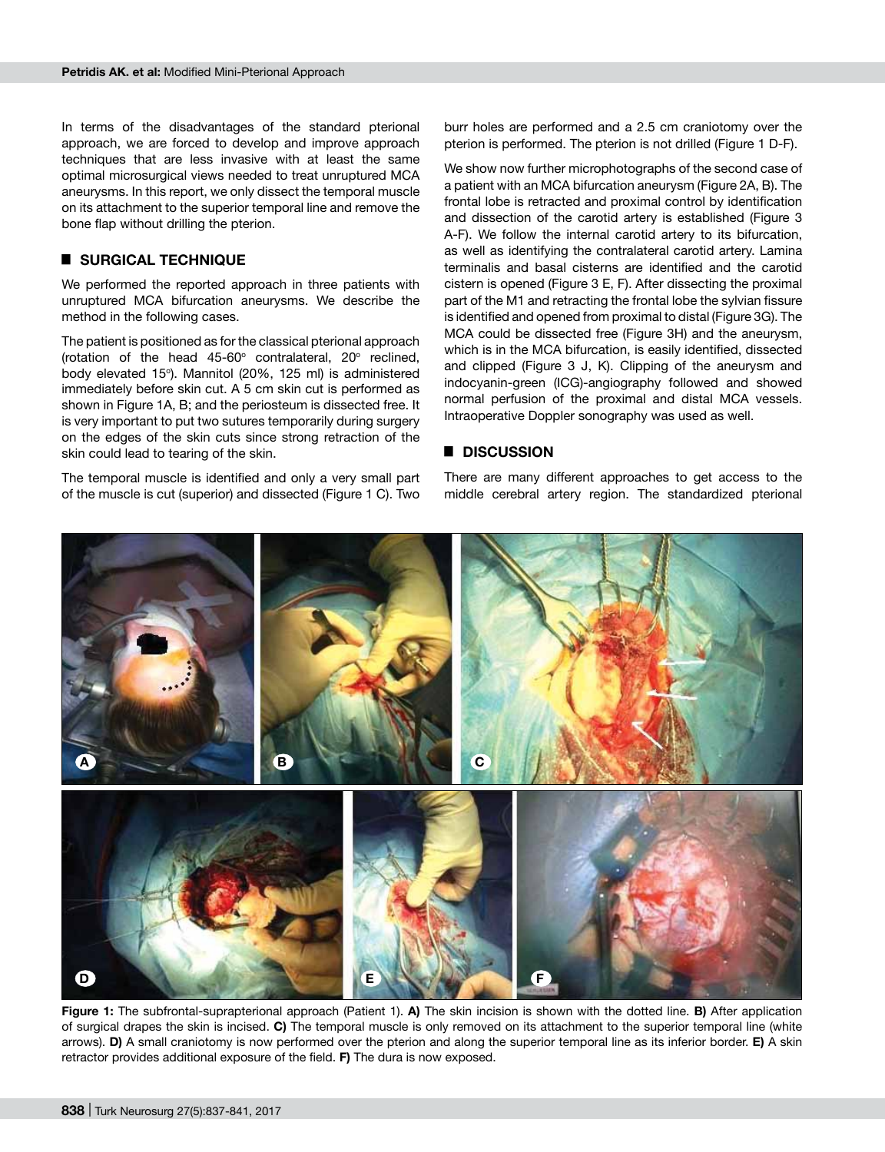In terms of the disadvantages of the standard pterional approach, we are forced to develop and improve approach techniques that are less invasive with at least the same optimal microsurgical views needed to treat unruptured MCA aneurysms. In this report, we only dissect the temporal muscle on its attachment to the superior temporal line and remove the bone flap without drilling the pterion.

## █ **SURGICAL TECHNIQUE**

We performed the reported approach in three patients with unruptured MCA bifurcation aneurysms. We describe the method in the following cases.

The patient is positioned as for the classical pterional approach (rotation of the head  $45-60^\circ$  contralateral,  $20^\circ$  reclined, body elevated 15°). Mannitol (20%, 125 ml) is administered immediately before skin cut. A 5 cm skin cut is performed as shown in Figure 1A, B; and the periosteum is dissected free. It is very important to put two sutures temporarily during surgery on the edges of the skin cuts since strong retraction of the skin could lead to tearing of the skin.

The temporal muscle is identified and only a very small part of the muscle is cut (superior) and dissected (Figure 1 C). Two

burr holes are performed and a 2.5 cm craniotomy over the pterion is performed. The pterion is not drilled (Figure 1 D-F).

We show now further microphotographs of the second case of a patient with an MCA bifurcation aneurysm (Figure 2A, B). The frontal lobe is retracted and proximal control by identification and dissection of the carotid artery is established (Figure 3 A-F). We follow the internal carotid artery to its bifurcation, as well as identifying the contralateral carotid artery. Lamina terminalis and basal cisterns are identified and the carotid cistern is opened (Figure 3 E, F). After dissecting the proximal part of the M1 and retracting the frontal lobe the sylvian fissure is identified and opened from proximal to distal (Figure 3G). The MCA could be dissected free (Figure 3H) and the aneurysm, which is in the MCA bifurcation, is easily identified, dissected and clipped (Figure 3 J, K). Clipping of the aneurysm and indocyanin-green (ICG)-angiography followed and showed normal perfusion of the proximal and distal MCA vessels. Intraoperative Doppler sonography was used as well.

#### █ **DISCUSSION**

There are many different approaches to get access to the middle cerebral artery region. The standardized pterional



**Figure 1:** The subfrontal-suprapterional approach (Patient 1). **A)** The skin incision is shown with the dotted line. **B)** After application of surgical drapes the skin is incised. **C)** The temporal muscle is only removed on its attachment to the superior temporal line (white arrows). **D)** A small craniotomy is now performed over the pterion and along the superior temporal line as its inferior border. **E)** A skin retractor provides additional exposure of the field. **F)** The dura is now exposed.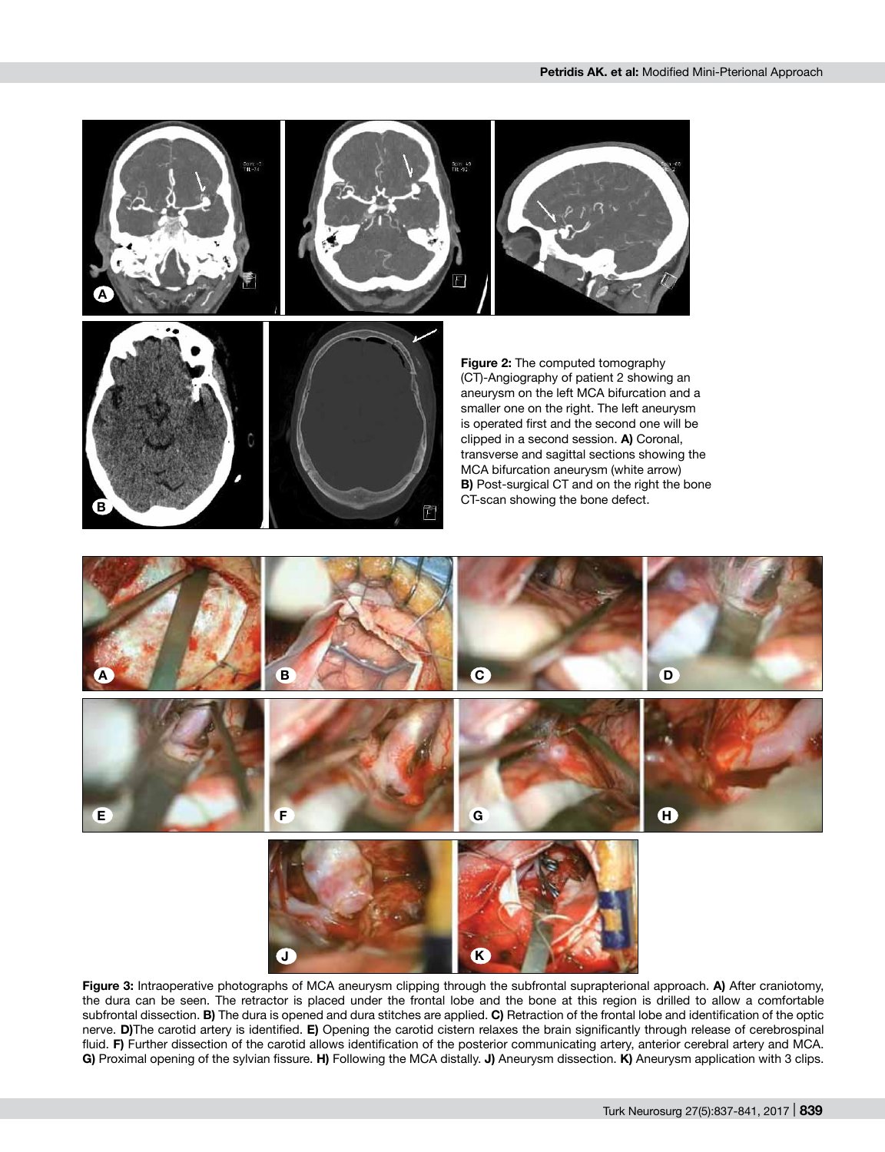

**Figure 3:** Intraoperative photographs of MCA aneurysm clipping through the subfrontal suprapterional approach. **A)** After craniotomy, the dura can be seen. The retractor is placed under the frontal lobe and the bone at this region is drilled to allow a comfortable subfrontal dissection. **B)** The dura is opened and dura stitches are applied. **C)** Retraction of the frontal lobe and identification of the optic nerve. **D)**The carotid artery is identified. **E)** Opening the carotid cistern relaxes the brain significantly through release of cerebrospinal fluid. **F)** Further dissection of the carotid allows identification of the posterior communicating artery, anterior cerebral artery and MCA. **G)** Proximal opening of the sylvian fissure. **H)** Following the MCA distally. **J)** Aneurysm dissection. **K)** Aneurysm application with 3 clips.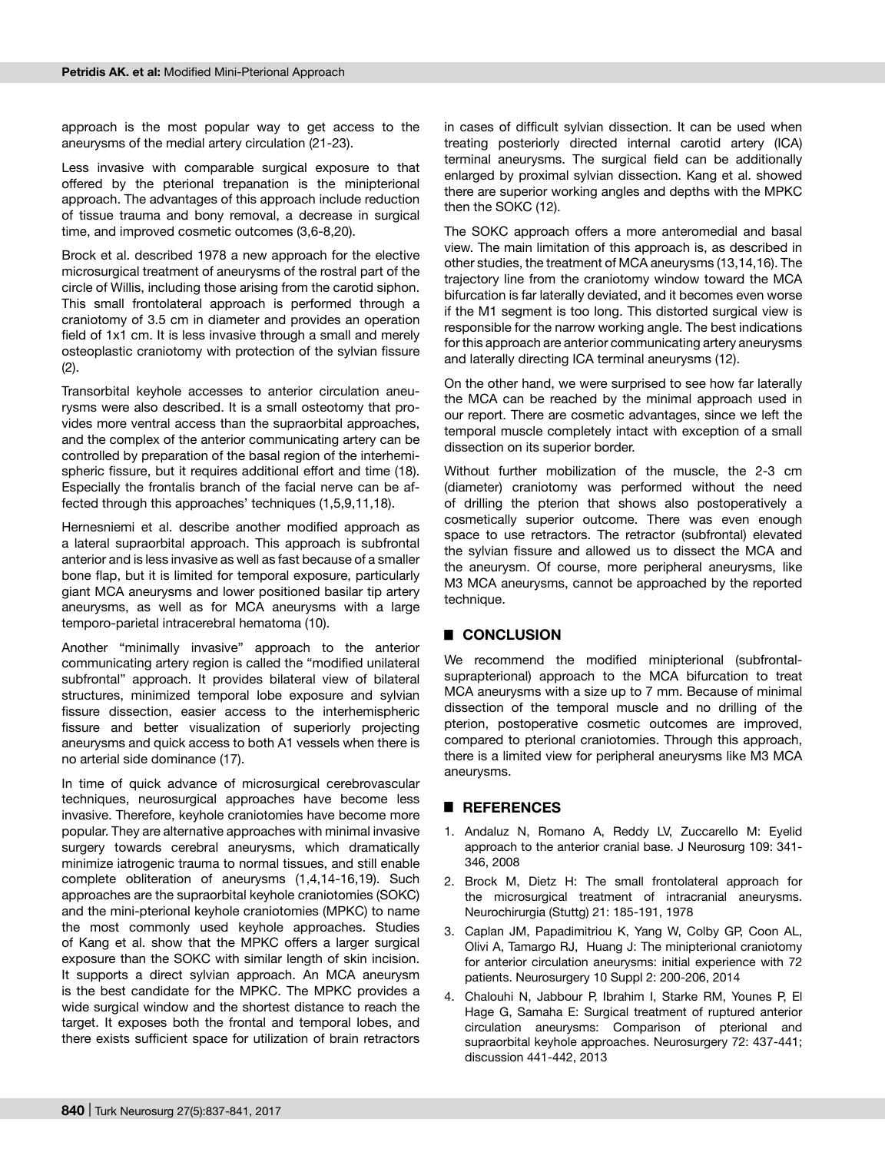approach is the most popular way to get access to the aneurysms of the medial artery circulation (21-23).

Less invasive with comparable surgical exposure to that offered by the pterional trepanation is the minipterional approach. The advantages of this approach include reduction of tissue trauma and bony removal, a decrease in surgical time, and improved cosmetic outcomes (3,6-8,20).

Brock et al. described 1978 a new approach for the elective microsurgical treatment of aneurysms of the rostral part of the circle of Willis, including those arising from the carotid siphon. This small frontolateral approach is performed through a craniotomy of 3.5 cm in diameter and provides an operation field of 1x1 cm. It is less invasive through a small and merely osteoplastic craniotomy with protection of the sylvian fissure (2).

Transorbital keyhole accesses to anterior circulation aneurysms were also described. It is a small osteotomy that provides more ventral access than the supraorbital approaches, and the complex of the anterior communicating artery can be controlled by preparation of the basal region of the interhemispheric fissure, but it requires additional effort and time (18). Especially the frontalis branch of the facial nerve can be affected through this approaches' techniques (1,5,9,11,18).

Hernesniemi et al. describe another modified approach as a lateral supraorbital approach. This approach is subfrontal anterior and is less invasive as well as fast because of a smaller bone flap, but it is limited for temporal exposure, particularly giant MCA aneurysms and lower positioned basilar tip artery aneurysms, as well as for MCA aneurysms with a large temporo-parietal intracerebral hematoma (10).

Another "minimally invasive" approach to the anterior communicating artery region is called the "modified unilateral subfrontal" approach. It provides bilateral view of bilateral structures, minimized temporal lobe exposure and sylvian fissure dissection, easier access to the interhemispheric fissure and better visualization of superiorly projecting aneurysms and quick access to both A1 vessels when there is no arterial side dominance (17).

In time of quick advance of microsurgical cerebrovascular techniques, neurosurgical approaches have become less invasive. Therefore, keyhole craniotomies have become more popular. They are alternative approaches with minimal invasive surgery towards cerebral aneurysms, which dramatically minimize iatrogenic trauma to normal tissues, and still enable complete obliteration of aneurysms (1,4,14-16,19). Such approaches are the supraorbital keyhole craniotomies (SOKC) and the mini-pterional keyhole craniotomies (MPKC) to name the most commonly used keyhole approaches. Studies of Kang et al. show that the MPKC offers a larger surgical exposure than the SOKC with similar length of skin incision. It supports a direct sylvian approach. An MCA aneurysm is the best candidate for the MPKC. The MPKC provides a wide surgical window and the shortest distance to reach the target. It exposes both the frontal and temporal lobes, and there exists sufficient space for utilization of brain retractors in cases of difficult sylvian dissection. It can be used when treating posteriorly directed internal carotid artery (ICA) terminal aneurysms. The surgical field can be additionally enlarged by proximal sylvian dissection. Kang et al. showed there are superior working angles and depths with the MPKC then the SOKC (12).

The SOKC approach offers a more anteromedial and basal view. The main limitation of this approach is, as described in other studies, the treatment of MCA aneurysms (13,14,16). The trajectory line from the craniotomy window toward the MCA bifurcation is far laterally deviated, and it becomes even worse if the M1 segment is too long. This distorted surgical view is responsible for the narrow working angle. The best indications for this approach are anterior communicating artery aneurysms and laterally directing ICA terminal aneurysms (12).

On the other hand, we were surprised to see how far laterally the MCA can be reached by the minimal approach used in our report. There are cosmetic advantages, since we left the temporal muscle completely intact with exception of a small dissection on its superior border.

Without further mobilization of the muscle, the 2-3 cm (diameter) craniotomy was performed without the need of drilling the pterion that shows also postoperatively a cosmetically superior outcome. There was even enough space to use retractors. The retractor (subfrontal) elevated the sylvian fissure and allowed us to dissect the MCA and the aneurysm. Of course, more peripheral aneurysms, like M3 MCA aneurysms, cannot be approached by the reported technique.

### █ **CONCLUSION**

We recommend the modified minipterional (subfrontalsuprapterional) approach to the MCA bifurcation to treat MCA aneurysms with a size up to 7 mm. Because of minimal dissection of the temporal muscle and no drilling of the pterion, postoperative cosmetic outcomes are improved, compared to pterional craniotomies. Through this approach, there is a limited view for peripheral aneurysms like M3 MCA aneurysms.

#### █ **REFERENCES**

- 1. Andaluz N, Romano A, Reddy LV, Zuccarello M: Eyelid approach to the anterior cranial base. J Neurosurg 109: 341- 346, 2008
- 2. Brock M, Dietz H: The small frontolateral approach for the microsurgical treatment of intracranial aneurysms. Neurochirurgia (Stuttg) 21: 185-191, 1978
- 3. Caplan JM, Papadimitriou K, Yang W, Colby GP, Coon AL, Olivi A, Tamargo RJ, Huang J: The minipterional craniotomy for anterior circulation aneurysms: initial experience with 72 patients. Neurosurgery 10 Suppl 2: 200-206, 2014
- 4. Chalouhi N, Jabbour P, Ibrahim I, Starke RM, Younes P, El Hage G, Samaha E: Surgical treatment of ruptured anterior circulation aneurysms: Comparison of pterional and supraorbital keyhole approaches. Neurosurgery 72: 437-441; discussion 441-442, 2013